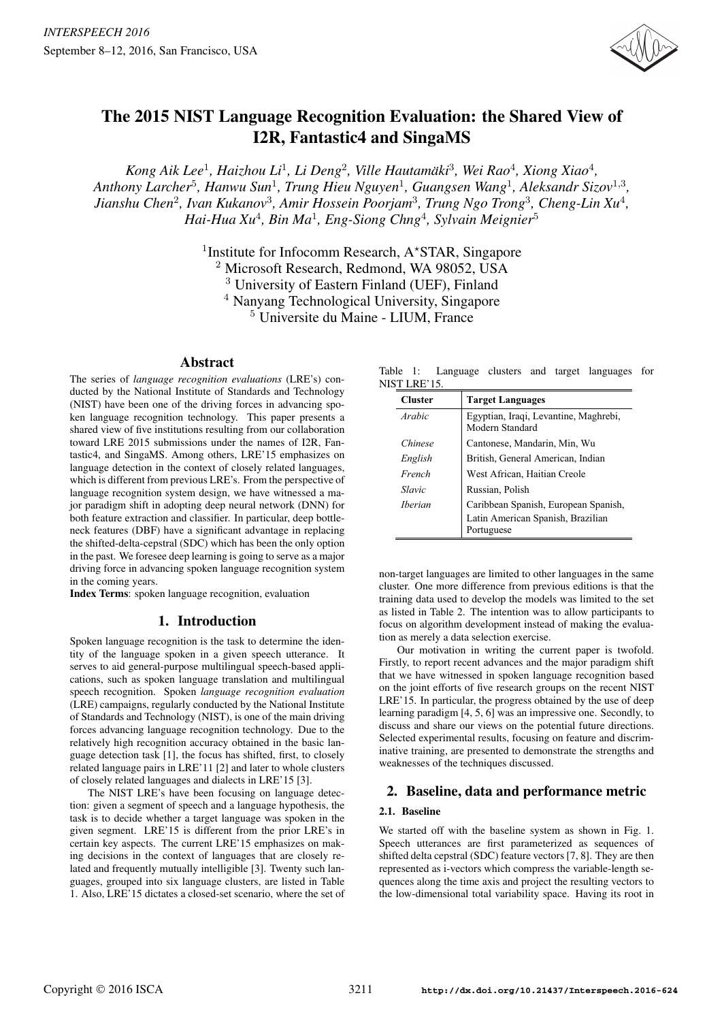

# The 2015 NIST Language Recognition Evaluation: the Shared View of I2R, Fantastic4 and SingaMS

*Kong Aik Lee*<sup>1</sup>*, Haizhou Li*<sup>1</sup>*, Li Deng*<sup>2</sup>*, Ville Hautamaki ¨* <sup>3</sup>*, Wei Rao*<sup>4</sup>*, Xiong Xiao*<sup>4</sup>*, Anthony Larcher*<sup>5</sup>*, Hanwu Sun*<sup>1</sup>*, Trung Hieu Nguyen*<sup>1</sup>*, Guangsen Wang*<sup>1</sup>*, Aleksandr Sizov*<sup>1</sup>,<sup>3</sup>*, Jianshu Chen*<sup>2</sup>*, Ivan Kukanov*<sup>3</sup>*, Amir Hossein Poorjam*<sup>3</sup>*, Trung Ngo Trong*<sup>3</sup>*, Cheng-Lin Xu*<sup>4</sup>*, Hai-Hua Xu*<sup>4</sup>*, Bin Ma*<sup>1</sup>*, Eng-Siong Chng*<sup>4</sup>*, Sylvain Meignier*<sup>5</sup>

> <sup>1</sup>Institute for Infocomm Research,  $A*STAR$ , Singapore <sup>2</sup> Microsoft Research, Redmond, WA 98052, USA <sup>3</sup> University of Eastern Finland (UEF), Finland <sup>4</sup> Nanyang Technological University, Singapore <sup>5</sup> Universite du Maine - LIUM, France

# Abstract

The series of *language recognition evaluations* (LRE's) conducted by the National Institute of Standards and Technology (NIST) have been one of the driving forces in advancing spoken language recognition technology. This paper presents a shared view of five institutions resulting from our collaboration toward LRE 2015 submissions under the names of I2R, Fantastic4, and SingaMS. Among others, LRE'15 emphasizes on language detection in the context of closely related languages, which is different from previous LRE's. From the perspective of language recognition system design, we have witnessed a major paradigm shift in adopting deep neural network (DNN) for both feature extraction and classifier. In particular, deep bottleneck features (DBF) have a significant advantage in replacing the shifted-delta-cepstral (SDC) which has been the only option in the past. We foresee deep learning is going to serve as a major driving force in advancing spoken language recognition system in the coming years.

Index Terms: spoken language recognition, evaluation

# 1. Introduction

Spoken language recognition is the task to determine the identity of the language spoken in a given speech utterance. It serves to aid general-purpose multilingual speech-based applications, such as spoken language translation and multilingual speech recognition. Spoken *language recognition evaluation* (LRE) campaigns, regularly conducted by the National Institute of Standards and Technology (NIST), is one of the main driving forces advancing language recognition technology. Due to the relatively high recognition accuracy obtained in the basic language detection task [1], the focus has shifted, first, to closely related language pairs in LRE'11 [2] and later to whole clusters of closely related languages and dialects in LRE'15 [3].

The NIST LRE's have been focusing on language detection: given a segment of speech and a language hypothesis, the task is to decide whether a target language was spoken in the given segment. LRE'15 is different from the prior LRE's in certain key aspects. The current LRE'15 emphasizes on making decisions in the context of languages that are closely related and frequently mutually intelligible [3]. Twenty such languages, grouped into six language clusters, are listed in Table 1. Also, LRE'15 dictates a closed-set scenario, where the set of

Table 1: Language clusters and target languages for NIST LRE'15.

| <b>Cluster</b> | <b>Target Languages</b><br>Egyptian, Iraqi, Levantine, Maghrebi,<br>Modern Standard |  |  |
|----------------|-------------------------------------------------------------------------------------|--|--|
| Arabic         |                                                                                     |  |  |
| Chinese        | Cantonese, Mandarin, Min, Wu                                                        |  |  |
| English        | British, General American, Indian                                                   |  |  |
| French         | West African, Haitian Creole                                                        |  |  |
| Slavic         | Russian, Polish                                                                     |  |  |
| <i>Iberian</i> | Caribbean Spanish, European Spanish,                                                |  |  |
|                | Latin American Spanish, Brazilian<br>Portuguese                                     |  |  |

non-target languages are limited to other languages in the same cluster. One more difference from previous editions is that the training data used to develop the models was limited to the set as listed in Table 2. The intention was to allow participants to focus on algorithm development instead of making the evaluation as merely a data selection exercise.

Our motivation in writing the current paper is twofold. Firstly, to report recent advances and the major paradigm shift that we have witnessed in spoken language recognition based on the joint efforts of five research groups on the recent NIST LRE'15. In particular, the progress obtained by the use of deep learning paradigm [4, 5, 6] was an impressive one. Secondly, to discuss and share our views on the potential future directions. Selected experimental results, focusing on feature and discriminative training, are presented to demonstrate the strengths and weaknesses of the techniques discussed.

# 2. Baseline, data and performance metric

### 2.1. Baseline

We started off with the baseline system as shown in Fig. 1. Speech utterances are first parameterized as sequences of shifted delta cepstral (SDC) feature vectors [7, 8]. They are then represented as i-vectors which compress the variable-length sequences along the time axis and project the resulting vectors to the low-dimensional total variability space. Having its root in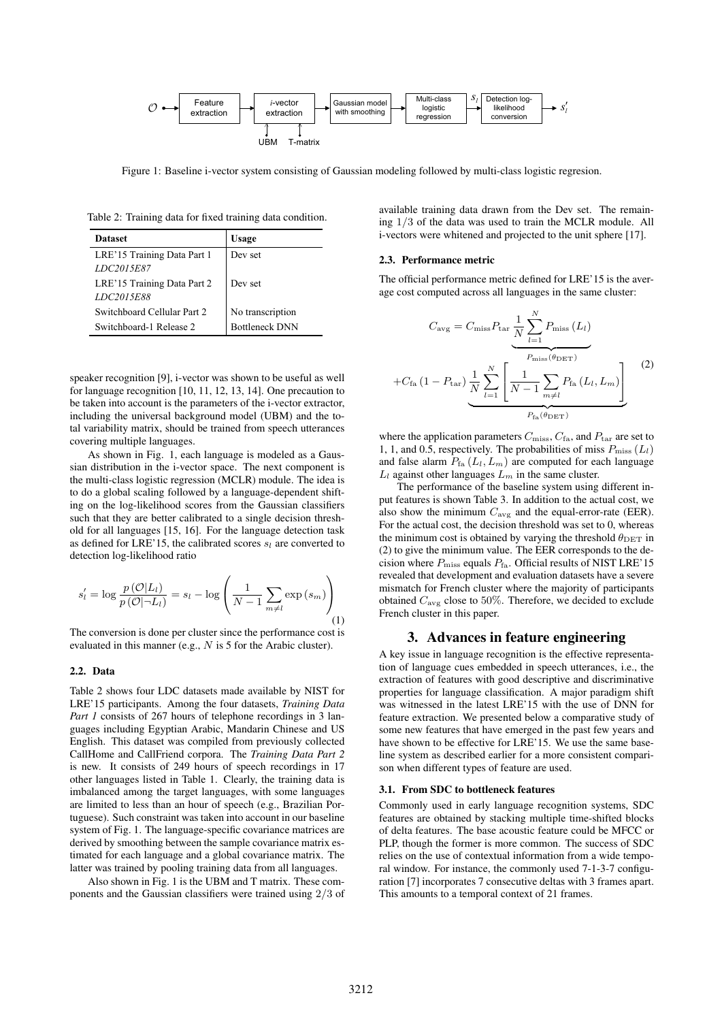

Figure 1: Baseline i-vector system consisting of Gaussian modeling followed by multi-class logistic regresion.

Table 2: Training data for fixed training data condition.

| <b>Dataset</b>              | Usage                 |  |
|-----------------------------|-----------------------|--|
| LRE'15 Training Data Part 1 | Dev set               |  |
| LDC2015E87                  |                       |  |
| LRE'15 Training Data Part 2 | Dev set               |  |
| LDC2015E88                  |                       |  |
| Switchboard Cellular Part 2 | No transcription      |  |
| Switchboard-1 Release 2     | <b>Bottleneck DNN</b> |  |

speaker recognition [9], i-vector was shown to be useful as well for language recognition [10, 11, 12, 13, 14]. One precaution to be taken into account is the parameters of the i-vector extractor, including the universal background model (UBM) and the total variability matrix, should be trained from speech utterances covering multiple languages.

As shown in Fig. 1, each language is modeled as a Gaussian distribution in the i-vector space. The next component is the multi-class logistic regression (MCLR) module. The idea is to do a global scaling followed by a language-dependent shifting on the log-likelihood scores from the Gaussian classifiers such that they are better calibrated to a single decision threshold for all languages [15, 16]. For the language detection task as defined for LRE'15, the calibrated scores s*<sup>l</sup>* are converted to detection log-likelihood ratio

$$
s'_{l} = \log \frac{p\left(\mathcal{O}|L_{l}\right)}{p\left(\mathcal{O}|\neg L_{l}\right)} = s_{l} - \log \left(\frac{1}{N-1} \sum_{m \neq l} \exp\left(s_{m}\right)\right)
$$
\n(1)

The conversion is done per cluster since the performance cost is evaluated in this manner (e.g., N is 5 for the Arabic cluster).

### 2.2. Data

Table 2 shows four LDC datasets made available by NIST for LRE'15 participants. Among the four datasets, *Training Data Part 1* consists of 267 hours of telephone recordings in 3 languages including Egyptian Arabic, Mandarin Chinese and US English. This dataset was compiled from previously collected CallHome and CallFriend corpora. The *Training Data Part 2* is new. It consists of 249 hours of speech recordings in 17 other languages listed in Table 1. Clearly, the training data is imbalanced among the target languages, with some languages are limited to less than an hour of speech (e.g., Brazilian Portuguese). Such constraint was taken into account in our baseline system of Fig. 1. The language-specific covariance matrices are derived by smoothing between the sample covariance matrix estimated for each language and a global covariance matrix. The latter was trained by pooling training data from all languages.

Also shown in Fig. 1 is the UBM and T matrix. These components and the Gaussian classifiers were trained using 2/3 of

available training data drawn from the Dev set. The remaining 1/3 of the data was used to train the MCLR module. All i-vectors were whitened and projected to the unit sphere [17].

#### 2.3. Performance metric

The official performance metric defined for LRE'15 is the average cost computed across all languages in the same cluster:

$$
C_{\text{avg}} = C_{\text{miss}} P_{\text{tar}} \underbrace{\frac{1}{N} \sum_{l=1}^{N} P_{\text{miss}}(L_l)}_{P_{\text{miss}}(\theta_{\text{DET}})}
$$

$$
+ C_{\text{fa}} \left(1 - P_{\text{tar}}\right) \underbrace{\frac{1}{N} \sum_{l=1}^{N} \left[\frac{1}{N-1} \sum_{m \neq l} P_{\text{fa}}(L_l, L_m)\right]}_{P_{\text{fa}}(\theta_{\text{DET}})}
$$
(2)

where the application parameters  $C_{\text{miss}}$ ,  $C_{\text{fa}}$ , and  $P_{\text{tar}}$  are set to 1, 1, and 0.5, respectively. The probabilities of miss  $P_{\text{miss}}(L_l)$ and false alarm  $P_{fa}$  ( $L_l$ ,  $L_m$ ) are computed for each language  $L_l$  against other languages  $L_m$  in the same cluster.

The performance of the baseline system using different input features is shown Table 3. In addition to the actual cost, we also show the minimum  $C_{\text{avg}}$  and the equal-error-rate (EER). For the actual cost, the decision threshold was set to 0, whereas the minimum cost is obtained by varying the threshold  $\theta_{\text{DET}}$  in (2) to give the minimum value. The EER corresponds to the decision where  $P_{\text{miss}}$  equals  $P_{\text{fa}}$ . Official results of NIST LRE'15 revealed that development and evaluation datasets have a severe mismatch for French cluster where the majority of participants obtained  $C_{\text{avg}}$  close to 50%. Therefore, we decided to exclude French cluster in this paper.

# 3. Advances in feature engineering

A key issue in language recognition is the effective representation of language cues embedded in speech utterances, i.e., the extraction of features with good descriptive and discriminative properties for language classification. A major paradigm shift was witnessed in the latest LRE'15 with the use of DNN for feature extraction. We presented below a comparative study of some new features that have emerged in the past few years and have shown to be effective for LRE'15. We use the same baseline system as described earlier for a more consistent comparison when different types of feature are used.

#### 3.1. From SDC to bottleneck features

Commonly used in early language recognition systems, SDC features are obtained by stacking multiple time-shifted blocks of delta features. The base acoustic feature could be MFCC or PLP, though the former is more common. The success of SDC relies on the use of contextual information from a wide temporal window. For instance, the commonly used 7-1-3-7 configuration [7] incorporates 7 consecutive deltas with 3 frames apart. This amounts to a temporal context of 21 frames.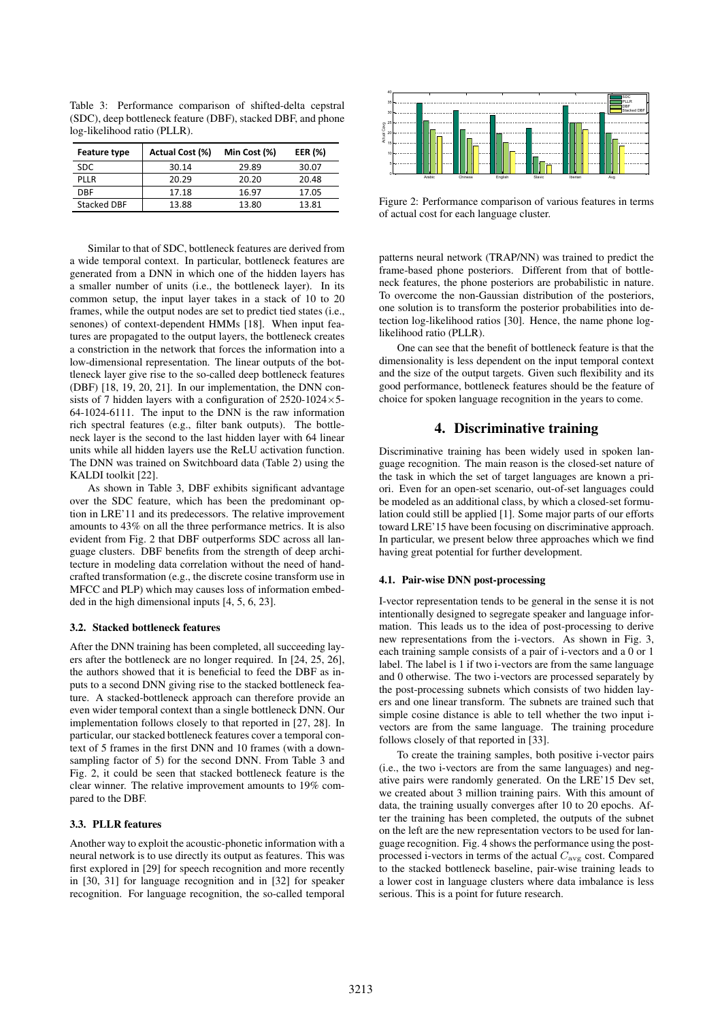Table 3: Performance comparison of shifted-delta cepstral (SDC), deep bottleneck feature (DBF), stacked DBF, and phone log-likelihood ratio (PLLR).

| Feature type       | Actual Cost (%) | Min Cost (%) | EER (%) |
|--------------------|-----------------|--------------|---------|
| SDC.               | 30.14           | 29.89        | 30.07   |
| PIIR               | 20.29           | 20.20        | 20.48   |
| DBF                | 17.18           | 16.97        | 17.05   |
| <b>Stacked DBF</b> | 13.88           | 13.80        | 13.81   |

Similar to that of SDC, bottleneck features are derived from a wide temporal context. In particular, bottleneck features are generated from a DNN in which one of the hidden layers has a smaller number of units (i.e., the bottleneck layer). In its common setup, the input layer takes in a stack of 10 to 20 frames, while the output nodes are set to predict tied states (i.e., senones) of context-dependent HMMs [18]. When input features are propagated to the output layers, the bottleneck creates a constriction in the network that forces the information into a low-dimensional representation. The linear outputs of the bottleneck layer give rise to the so-called deep bottleneck features (DBF) [18, 19, 20, 21]. In our implementation, the DNN consists of 7 hidden layers with a configuration of  $2520-1024\times5$ -64-1024-6111. The input to the DNN is the raw information rich spectral features (e.g., filter bank outputs). The bottleneck layer is the second to the last hidden layer with 64 linear units while all hidden layers use the ReLU activation function. The DNN was trained on Switchboard data (Table 2) using the KALDI toolkit [22].

As shown in Table 3, DBF exhibits significant advantage over the SDC feature, which has been the predominant option in LRE'11 and its predecessors. The relative improvement amounts to 43% on all the three performance metrics. It is also evident from Fig. 2 that DBF outperforms SDC across all language clusters. DBF benefits from the strength of deep architecture in modeling data correlation without the need of handcrafted transformation (e.g., the discrete cosine transform use in MFCC and PLP) which may causes loss of information embedded in the high dimensional inputs [4, 5, 6, 23].

#### 3.2. Stacked bottleneck features

After the DNN training has been completed, all succeeding layers after the bottleneck are no longer required. In [24, 25, 26], the authors showed that it is beneficial to feed the DBF as inputs to a second DNN giving rise to the stacked bottleneck feature. A stacked-bottleneck approach can therefore provide an even wider temporal context than a single bottleneck DNN. Our implementation follows closely to that reported in [27, 28]. In particular, our stacked bottleneck features cover a temporal context of 5 frames in the first DNN and 10 frames (with a downsampling factor of 5) for the second DNN. From Table 3 and Fig. 2, it could be seen that stacked bottleneck feature is the clear winner. The relative improvement amounts to 19% compared to the DBF.

### 3.3. PLLR features

Another way to exploit the acoustic-phonetic information with a neural network is to use directly its output as features. This was first explored in [29] for speech recognition and more recently in [30, 31] for language recognition and in [32] for speaker recognition. For language recognition, the so-called temporal



Figure 2: Performance comparison of various features in terms of actual cost for each language cluster.

patterns neural network (TRAP/NN) was trained to predict the frame-based phone posteriors. Different from that of bottleneck features, the phone posteriors are probabilistic in nature. To overcome the non-Gaussian distribution of the posteriors, one solution is to transform the posterior probabilities into detection log-likelihood ratios [30]. Hence, the name phone loglikelihood ratio (PLLR).

One can see that the benefit of bottleneck feature is that the dimensionality is less dependent on the input temporal context and the size of the output targets. Given such flexibility and its good performance, bottleneck features should be the feature of choice for spoken language recognition in the years to come.

# 4. Discriminative training

Discriminative training has been widely used in spoken language recognition. The main reason is the closed-set nature of the task in which the set of target languages are known a priori. Even for an open-set scenario, out-of-set languages could be modeled as an additional class, by which a closed-set formulation could still be applied [1]. Some major parts of our efforts toward LRE'15 have been focusing on discriminative approach. In particular, we present below three approaches which we find having great potential for further development.

### 4.1. Pair-wise DNN post-processing

I-vector representation tends to be general in the sense it is not intentionally designed to segregate speaker and language information. This leads us to the idea of post-processing to derive new representations from the i-vectors. As shown in Fig. 3, each training sample consists of a pair of i-vectors and a 0 or 1 label. The label is 1 if two i-vectors are from the same language and 0 otherwise. The two i-vectors are processed separately by the post-processing subnets which consists of two hidden layers and one linear transform. The subnets are trained such that simple cosine distance is able to tell whether the two input ivectors are from the same language. The training procedure follows closely of that reported in [33].

To create the training samples, both positive i-vector pairs (i.e., the two i-vectors are from the same languages) and negative pairs were randomly generated. On the LRE'15 Dev set, we created about 3 million training pairs. With this amount of data, the training usually converges after 10 to 20 epochs. After the training has been completed, the outputs of the subnet on the left are the new representation vectors to be used for language recognition. Fig. 4 shows the performance using the postprocessed i-vectors in terms of the actual  $C_{\text{avg}}$  cost. Compared to the stacked bottleneck baseline, pair-wise training leads to a lower cost in language clusters where data imbalance is less serious. This is a point for future research.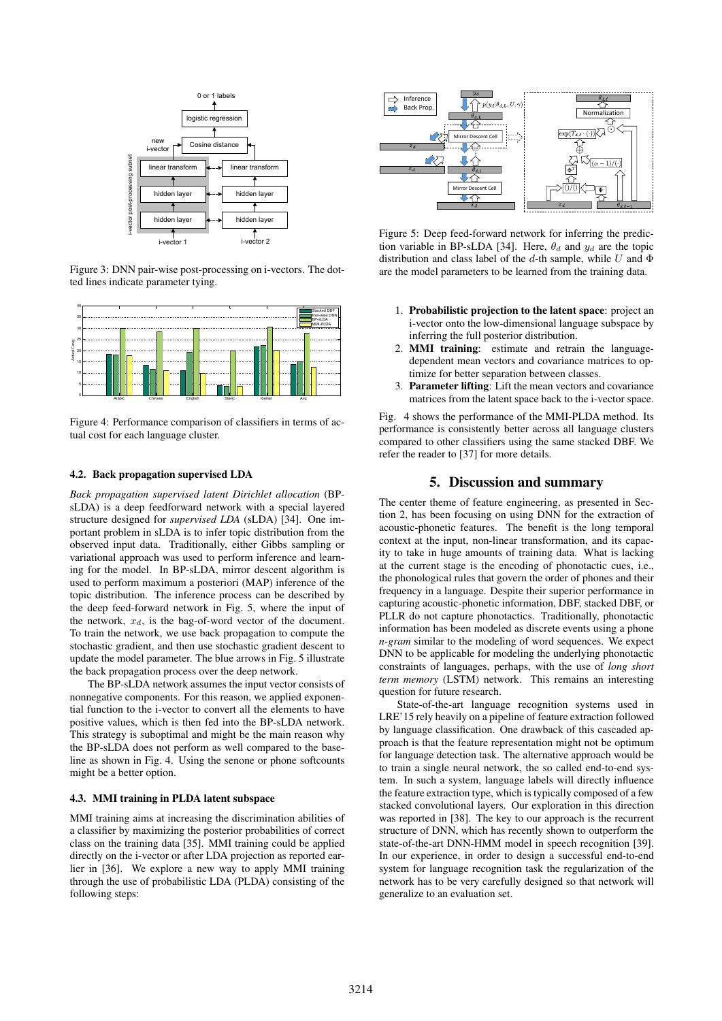

Figure 3: DNN pair-wise post-processing on i-vectors. The dotted lines indicate parameter tying.



Figure 4: Performance comparison of classifiers in terms of actual cost for each language cluster.

### 4.2. Back propagation supervised LDA

*Back propagation supervised latent Dirichlet allocation* (BPsLDA) is a deep feedforward network with a special layered structure designed for *supervised LDA* (sLDA) [34]. One important problem in sLDA is to infer topic distribution from the observed input data. Traditionally, either Gibbs sampling or variational approach was used to perform inference and learning for the model. In BP-sLDA, mirror descent algorithm is used to perform maximum a posteriori (MAP) inference of the topic distribution. The inference process can be described by the deep feed-forward network in Fig. 5, where the input of the network,  $x_d$ , is the bag-of-word vector of the document. To train the network, we use back propagation to compute the stochastic gradient, and then use stochastic gradient descent to update the model parameter. The blue arrows in Fig. 5 illustrate the back propagation process over the deep network.

The BP-sLDA network assumes the input vector consists of nonnegative components. For this reason, we applied exponential function to the i-vector to convert all the elements to have positive values, which is then fed into the BP-sLDA network. This strategy is suboptimal and might be the main reason why the BP-sLDA does not perform as well compared to the baseline as shown in Fig. 4. Using the senone or phone softcounts might be a better option.

### 4.3. MMI training in PLDA latent subspace

MMI training aims at increasing the discrimination abilities of a classifier by maximizing the posterior probabilities of correct class on the training data [35]. MMI training could be applied directly on the i-vector or after LDA projection as reported earlier in [36]. We explore a new way to apply MMI training through the use of probabilistic LDA (PLDA) consisting of the following steps:



Figure 5: Deep feed-forward network for inferring the prediction variable in BP-sLDA [34]. Here,  $\theta_d$  and  $y_d$  are the topic distribution and class label of the d-th sample, while U and  $\Phi$ are the model parameters to be learned from the training data.

- 1. Probabilistic projection to the latent space: project an i-vector onto the low-dimensional language subspace by inferring the full posterior distribution.
- 2. MMI training: estimate and retrain the languagedependent mean vectors and covariance matrices to optimize for better separation between classes.
- 3. Parameter lifting: Lift the mean vectors and covariance matrices from the latent space back to the i-vector space.

Fig. 4 shows the performance of the MMI-PLDA method. Its performance is consistently better across all language clusters compared to other classifiers using the same stacked DBF. We refer the reader to [37] for more details.

# 5. Discussion and summary

The center theme of feature engineering, as presented in Section 2, has been focusing on using DNN for the extraction of acoustic-phonetic features. The benefit is the long temporal context at the input, non-linear transformation, and its capacity to take in huge amounts of training data. What is lacking at the current stage is the encoding of phonotactic cues, i.e., the phonological rules that govern the order of phones and their frequency in a language. Despite their superior performance in capturing acoustic-phonetic information, DBF, stacked DBF, or PLLR do not capture phonotactics. Traditionally, phonotactic information has been modeled as discrete events using a phone *n-gram* similar to the modeling of word sequences. We expect DNN to be applicable for modeling the underlying phonotactic constraints of languages, perhaps, with the use of *long short term memory* (LSTM) network. This remains an interesting question for future research.

State-of-the-art language recognition systems used in LRE'15 rely heavily on a pipeline of feature extraction followed by language classification. One drawback of this cascaded approach is that the feature representation might not be optimum for language detection task. The alternative approach would be to train a single neural network, the so called end-to-end system. In such a system, language labels will directly influence the feature extraction type, which is typically composed of a few stacked convolutional layers. Our exploration in this direction was reported in [38]. The key to our approach is the recurrent structure of DNN, which has recently shown to outperform the state-of-the-art DNN-HMM model in speech recognition [39]. In our experience, in order to design a successful end-to-end system for language recognition task the regularization of the network has to be very carefully designed so that network will generalize to an evaluation set.